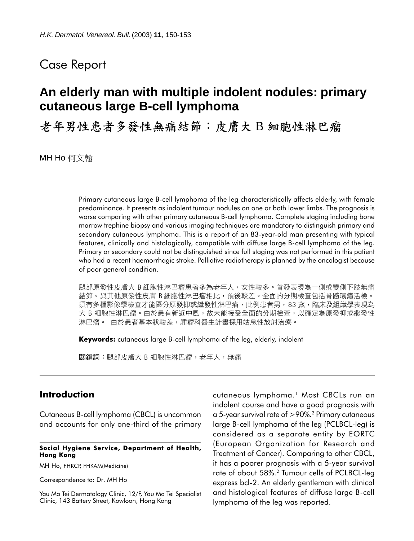## Case Report

# **An elderly man with multiple indolent nodules: primary cutaneous large B-cell lymphoma**

老年男性患者多發性無痛結節:皮膚大 B 細胞性淋巴瘤

MH Ho 何文翰

Primary cutaneous large B-cell lymphoma of the leg characteristically affects elderly, with female predominance. It presents as indolent tumour nodules on one or both lower limbs. The prognosis is worse comparing with other primary cutaneous B-cell lymphoma. Complete staging including bone marrow trephine biopsy and various imaging techniques are mandatory to distinguish primary and secondary cutaneous lymphoma. This is a report of an 83-year-old man presenting with typical features, clinically and histologically, compatible with diffuse large B-cell lymphoma of the leg. Primary or secondary could not be distinguished since full staging was not performed in this patient who had a recent haemorrhagic stroke. Palliative radiotherapy is planned by the oncologist because of poor general condition.

腿部原發性皮膚大 B 細胞性淋巴瘤患者多為老年人,女性較多。首發表現為乛側或雙側下肢無痛 結節。與其他原發性皮膚 B 細胞性淋巴瘤相比,預後較差。全面的分期檢查包括骨髓環鑽活檢。 須有多種影像學檢查才能區分原發抑或繼發性淋巴瘤,此例患者男,83 歲,臨床及組織學表現為 大 B 細胞性淋巴瘤。由於患有新近中風,故未能接受全面的分期檢查,以確定為原發抑或繼發性 淋巴瘤。 由於患者基本狀較差,腫瘤科醫生計畫採用姑息性放射治療。

Keywords: cutaneous large B-cell lymphoma of the leg, elderly, indolent

關鍵詞:腿部皮膚大 B 細胞性淋巴瘤,老年人,無痛

## Introduction

Cutaneous B-cell lymphoma (CBCL) is uncommon and accounts for only one-third of the primary

#### Social Hygiene Service, Department of Health, Hong Kong

MH Ho, FHKCP, FHKAM(Medicine)

Correspondence to: Dr. MH Ho

Yau Ma Tei Dermatology Clinic, 12/F, Yau Ma Tei Specialist Clinic, 143 Battery Street, Kowloon, Hong Kong

cutaneous lymphoma.<sup>1</sup> Most CBCLs run an indolent course and have a good prognosis with a 5-year survival rate of >90%.<sup>2</sup> Primary cutaneous large B-cell lymphoma of the leg (PCLBCL-leg) is considered as a separate entity by EORTC (European Organization for Research and Treatment of Cancer). Comparing to other CBCL, it has a poorer prognosis with a 5-year survival rate of about 58%.<sup>2</sup> Tumour cells of PCLBCL-leg express bcl-2. An elderly gentleman with clinical and histological features of diffuse large B-cell lymphoma of the leg was reported.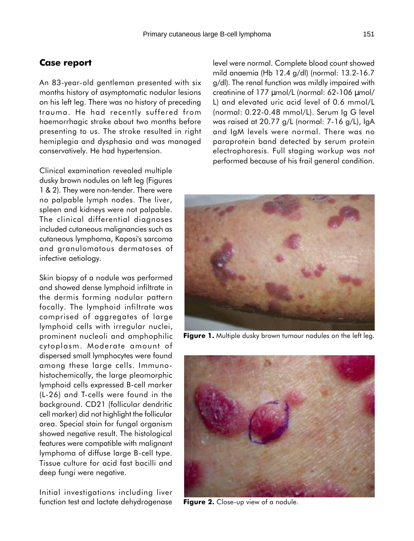### Case report

An 83-year-old gentleman presented with six months history of asymptomatic nodular lesions on his left leg. There was no history of preceding trauma. He had recently suffered from haemorrhagic stroke about two months before presenting to us. The stroke resulted in right hemiplegia and dysphasia and was managed conservatively. He had hypertension.

Clinical examination revealed multiple dusky brown nodules on left leg (Figures 1 & 2). They were non-tender. There were no palpable lymph nodes. The liver, spleen and kidneys were not palpable. The clinical differential diagnoses included cutaneous malignancies such as cutaneous lymphoma, Kaposi's sarcoma and granulomatous dermatoses of infective aetiology.

Skin biopsy of a nodule was performed and showed dense lymphoid infiltrate in the dermis forming nodular pattern focally. The lymphoid infiltrate was comprised of aggregates of large lymphoid cells with irregular nuclei, prominent nucleoli and amphophilic cytoplasm. Moderate amount of dispersed small lymphocytes were found among these large cells. Immunohistochemically, the large pleomorphic lymphoid cells expressed B-cell marker (L-26) and T-cells were found in the background. CD21 (follicular dendritic cell marker) did not highlight the follicular area. Special stain for fungal organism showed negative result. The histological features were compatible with malignant lymphoma of diffuse large B-cell type. Tissue culture for acid fast bacilli and deep fungi were negative.

Initial investigations including liver function test and lactate dehydrogenase level were normal. Complete blood count showed mild anaemia (Hb 12.4 g/dl) (normal: 13.2-16.7 g/dl). The renal function was mildly impaired with creatinine of 177 µmol/L (normal: 62-106 µmol/ L) and elevated uric acid level of 0.6 mmol/L (normal: 0.22-0.48 mmol/L). Serum Ig G level was raised at 20.77 g/L (normal: 7-16 g/L), IgA and IgM levels were normal. There was no paraprotein band detected by serum protein electrophoresis. Full staging workup was not performed because of his frail general condition.



Figure 1. Multiple dusky brown tumour nodules on the left leg.



Figure 2. Close-up view of a nodule.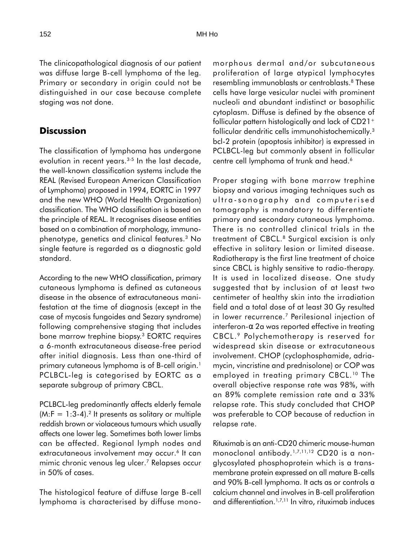The clinicopathological diagnosis of our patient was diffuse large B-cell lymphoma of the leg. Primary or secondary in origin could not be distinguished in our case because complete staging was not done.

## **Discussion**

The classification of lymphoma has undergone evolution in recent years.<sup>3-5</sup> In the last decade, the well-known classification systems include the REAL (Revised European American Classification of Lymphoma) proposed in 1994, EORTC in 1997 and the new WHO (World Health Organization) classification. The WHO classification is based on the principle of REAL. It recognises disease entities based on a combination of morphology, immunophenotype, genetics and clinical features.<sup>3</sup> No single feature is regarded as a diagnostic gold standard.

According to the new WHO classification, primary cutaneous lymphoma is defined as cutaneous disease in the absence of extracutaneous manifestation at the time of diagnosis (except in the case of mycosis fungoides and Sezary syndrome) following comprehensive staging that includes bone marrow trephine biopsy.<sup>3</sup> EORTC requires a 6-month extracutaneous disease-free period after initial diagnosis. Less than one-third of primary cutaneous lymphoma is of B-cell origin.<sup>1</sup> PCLBCL-leg is categorised by EORTC as a separate subgroup of primary CBCL.

PCLBCL-leg predominantly affects elderly female  $(M:F = 1:3-4).$ <sup>2</sup> It presents as solitary or multiple reddish brown or violaceous tumours which usually affects one lower leg. Sometimes both lower limbs can be affected. Regional lymph nodes and extracutaneous involvement may occur.<sup>6</sup> It can mimic chronic venous leg ulcer.<sup>7</sup> Relapses occur in 50% of cases.

The histological feature of diffuse large B-cell lymphoma is characterised by diffuse monomorphous dermal and/or subcutaneous proliferation of large atypical lymphocytes resembling immunoblasts or centroblasts.<sup>8</sup> These cells have large vesicular nuclei with prominent nucleoli and abundant indistinct or basophilic cytoplasm. Diffuse is defined by the absence of follicular pattern histologically and lack of CD21<sup>+</sup> follicular dendritic cells immunohistochemically.<sup>3</sup> bcl-2 protein (apoptosis inhibitor) is expressed in PCLBCL-leg but commonly absent in follicular centre cell lymphoma of trunk and head.<sup>6</sup>

Proper staging with bone marrow trephine biopsy and various imaging techniques such as ultra-sonography and computerised tomography is mandatory to differentiate primary and secondary cutaneous lymphoma. There is no controlled clinical trials in the treatment of CBCL.<sup>8</sup> Surgical excision is only effective in solitary lesion or limited disease. Radiotherapy is the first line treatment of choice since CBCL is highly sensitive to radio-therapy. It is used in localized disease. One study suggested that by inclusion of at least two centimeter of healthy skin into the irradiation field and a total dose of at least 30 Gy resulted in lower recurrence.<sup>7</sup> Perilesional injection of interferon-α 2a was reported effective in treating CBCL.<sup>9</sup> Polychemotherapy is reserved for widespread skin disease or extracutaneous involvement. CHOP (cyclophosphamide, adriamycin, vincristine and prednisolone) or COP was employed in treating primary CBCL.<sup>10</sup> The overall objective response rate was 98%, with an 89% complete remission rate and a 33% relapse rate. This study concluded that CHOP was preferable to COP because of reduction in relapse rate.

Rituximab is an anti-CD20 chimeric mouse-human monoclonal antibody.<sup>1,7,11,12</sup> CD20 is a nonglycosylated phosphoprotein which is a transmembrane protein expressed on all mature B-cells and 90% B-cell lymphoma. It acts as or controls a calcium channel and involves in B-cell proliferation and differentiation.1,7,11 In vitro, rituximab induces